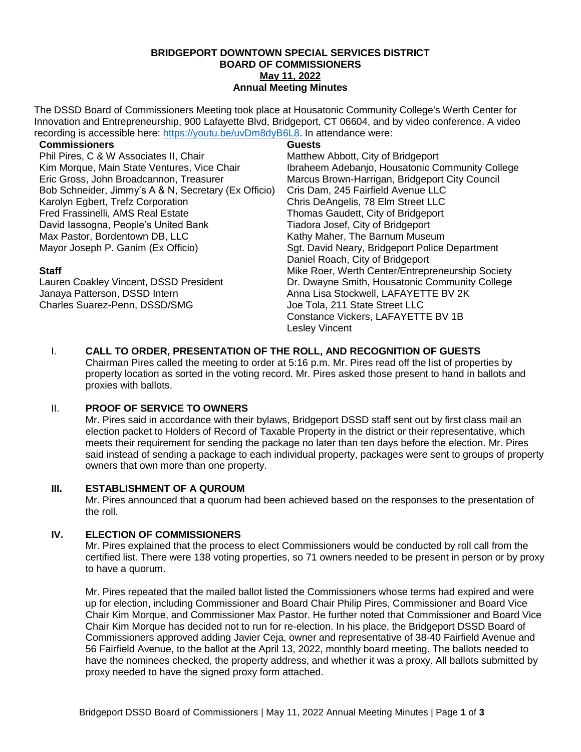### **BRIDGEPORT DOWNTOWN SPECIAL SERVICES DISTRICT BOARD OF COMMISSIONERS May 11, 2022 Annual Meeting Minutes**

The DSSD Board of Commissioners Meeting took place at Housatonic Community College's Werth Center for Innovation and Entrepreneurship, 900 Lafayette Blvd, Bridgeport, CT 06604, and by video conference. A video recording is accessible here: [https://youtu.be/uvDm8dyB6L8.](https://youtu.be/uvDm8dyB6L8) In attendance were:

| <b>Commissioners</b> |
|----------------------|
|                      |

Phil Pires, C & W Associates II, Chair Kim Morque, Main State Ventures, Vice Chair Eric Gross, John Broadcannon, Treasurer Bob Schneider, Jimmy's A & N, Secretary (Ex Officio) Karolyn Egbert, Trefz Corporation Fred Frassinelli, AMS Real Estate David Iassogna, People's United Bank Max Pastor, Bordentown DB, LLC Mayor Joseph P. Ganim (Ex Officio)

## **Staff**

Lauren Coakley Vincent, DSSD President Janaya Patterson, DSSD Intern Charles Suarez-Penn, DSSD/SMG

## **Guests**

Matthew Abbott, City of Bridgeport Ibraheem Adebanjo, Housatonic Community College Marcus Brown-Harrigan, Bridgeport City Council Cris Dam, 245 Fairfield Avenue LLC Chris DeAngelis, 78 Elm Street LLC Thomas Gaudett, City of Bridgeport Tiadora Josef, City of Bridgeport Kathy Maher, The Barnum Museum Sgt. David Neary, Bridgeport Police Department Daniel Roach, City of Bridgeport Mike Roer, Werth Center/Entrepreneurship Society Dr. Dwayne Smith, Housatonic Community College Anna Lisa Stockwell, LAFAYETTE BV 2K Joe Tola, 211 State Street LLC Constance Vickers, LAFAYETTE BV 1B Lesley Vincent

I. **CALL TO ORDER, PRESENTATION OF THE ROLL, AND RECOGNITION OF GUESTS** Chairman Pires called the meeting to order at 5:16 p.m. Mr. Pires read off the list of properties by property location as sorted in the voting record. Mr. Pires asked those present to hand in ballots and proxies with ballots.

# II. **PROOF OF SERVICE TO OWNERS**

Mr. Pires said in accordance with their bylaws, Bridgeport DSSD staff sent out by first class mail an election packet to Holders of Record of Taxable Property in the district or their representative, which meets their requirement for sending the package no later than ten days before the election. Mr. Pires said instead of sending a package to each individual property, packages were sent to groups of property owners that own more than one property.

# **III. ESTABLISHMENT OF A QUROUM**

Mr. Pires announced that a quorum had been achieved based on the responses to the presentation of the roll.

# **IV. ELECTION OF COMMISSIONERS**

Mr. Pires explained that the process to elect Commissioners would be conducted by roll call from the certified list. There were 138 voting properties, so 71 owners needed to be present in person or by proxy to have a quorum.

Mr. Pires repeated that the mailed ballot listed the Commissioners whose terms had expired and were up for election, including Commissioner and Board Chair Philip Pires, Commissioner and Board Vice Chair Kim Morque, and Commissioner Max Pastor. He further noted that Commissioner and Board Vice Chair Kim Morque has decided not to run for re-election. In his place, the Bridgeport DSSD Board of Commissioners approved adding Javier Ceja, owner and representative of 38-40 Fairfield Avenue and 56 Fairfield Avenue, to the ballot at the April 13, 2022, monthly board meeting. The ballots needed to have the nominees checked, the property address, and whether it was a proxy. All ballots submitted by proxy needed to have the signed proxy form attached.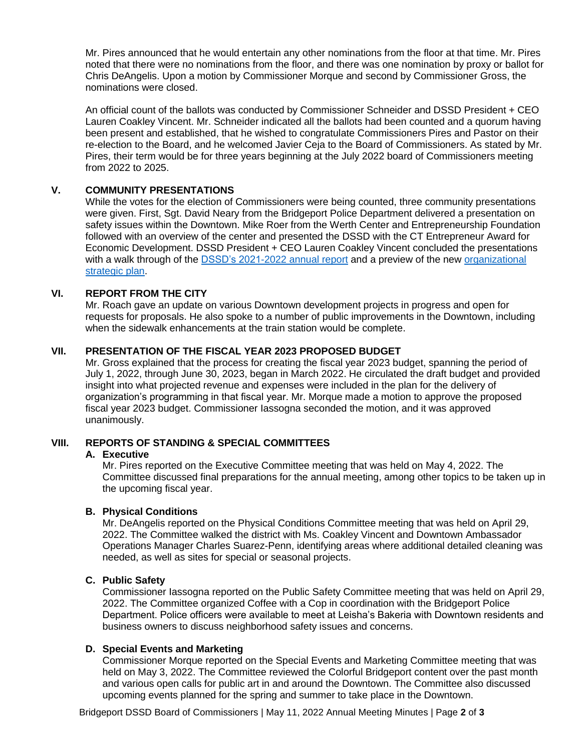Mr. Pires announced that he would entertain any other nominations from the floor at that time. Mr. Pires noted that there were no nominations from the floor, and there was one nomination by proxy or ballot for Chris DeAngelis. Upon a motion by Commissioner Morque and second by Commissioner Gross, the nominations were closed.

An official count of the ballots was conducted by Commissioner Schneider and DSSD President + CEO Lauren Coakley Vincent. Mr. Schneider indicated all the ballots had been counted and a quorum having been present and established, that he wished to congratulate Commissioners Pires and Pastor on their re-election to the Board, and he welcomed Javier Ceja to the Board of Commissioners. As stated by Mr. Pires, their term would be for three years beginning at the July 2022 board of Commissioners meeting from 2022 to 2025.

## **V. COMMUNITY PRESENTATIONS**

While the votes for the election of Commissioners were being counted, three community presentations were given. First, Sgt. David Neary from the Bridgeport Police Department delivered a presentation on safety issues within the Downtown. Mike Roer from the Werth Center and Entrepreneurship Foundation followed with an overview of the center and presented the DSSD with the CT Entrepreneur Award for Economic Development. DSSD President + CEO Lauren Coakley Vincent concluded the presentations with a walk through of the [DSSD's 2021-2022 annual report](http://infobridgeport.com/wp-content/uploads/2022/05/4.Annual-Report-2021-2022.pdf) and a preview of the new organizational [strategic plan.](https://docs.google.com/document/d/17aq1KZpCIqEsPku-Z127bifCQGfu9CHVVlGWXrkts4I/edit?usp=sharing)

## **VI. REPORT FROM THE CITY**

Mr. Roach gave an update on various Downtown development projects in progress and open for requests for proposals. He also spoke to a number of public improvements in the Downtown, including when the sidewalk enhancements at the train station would be complete.

## **VII. PRESENTATION OF THE FISCAL YEAR 2023 PROPOSED BUDGET**

Mr. Gross explained that the process for creating the fiscal year 2023 budget, spanning the period of July 1, 2022, through June 30, 2023, began in March 2022. He circulated the draft budget and provided insight into what projected revenue and expenses were included in the plan for the delivery of organization's programming in that fiscal year. Mr. Morque made a motion to approve the proposed fiscal year 2023 budget. Commissioner Iassogna seconded the motion, and it was approved unanimously.

## **VIII. REPORTS OF STANDING & SPECIAL COMMITTEES**

#### **A. Executive**

Mr. Pires reported on the Executive Committee meeting that was held on May 4, 2022. The Committee discussed final preparations for the annual meeting, among other topics to be taken up in the upcoming fiscal year.

## **B. Physical Conditions**

Mr. DeAngelis reported on the Physical Conditions Committee meeting that was held on April 29, 2022. The Committee walked the district with Ms. Coakley Vincent and Downtown Ambassador Operations Manager Charles Suarez-Penn, identifying areas where additional detailed cleaning was needed, as well as sites for special or seasonal projects.

## **C. Public Safety**

Commissioner Iassogna reported on the Public Safety Committee meeting that was held on April 29, 2022. The Committee organized Coffee with a Cop in coordination with the Bridgeport Police Department. Police officers were available to meet at Leisha's Bakeria with Downtown residents and business owners to discuss neighborhood safety issues and concerns.

## **D. Special Events and Marketing**

Commissioner Morque reported on the Special Events and Marketing Committee meeting that was held on May 3, 2022. The Committee reviewed the Colorful Bridgeport content over the past month and various open calls for public art in and around the Downtown. The Committee also discussed upcoming events planned for the spring and summer to take place in the Downtown.

Bridgeport DSSD Board of Commissioners | May 11, 2022 Annual Meeting Minutes | Page **2** of **3**